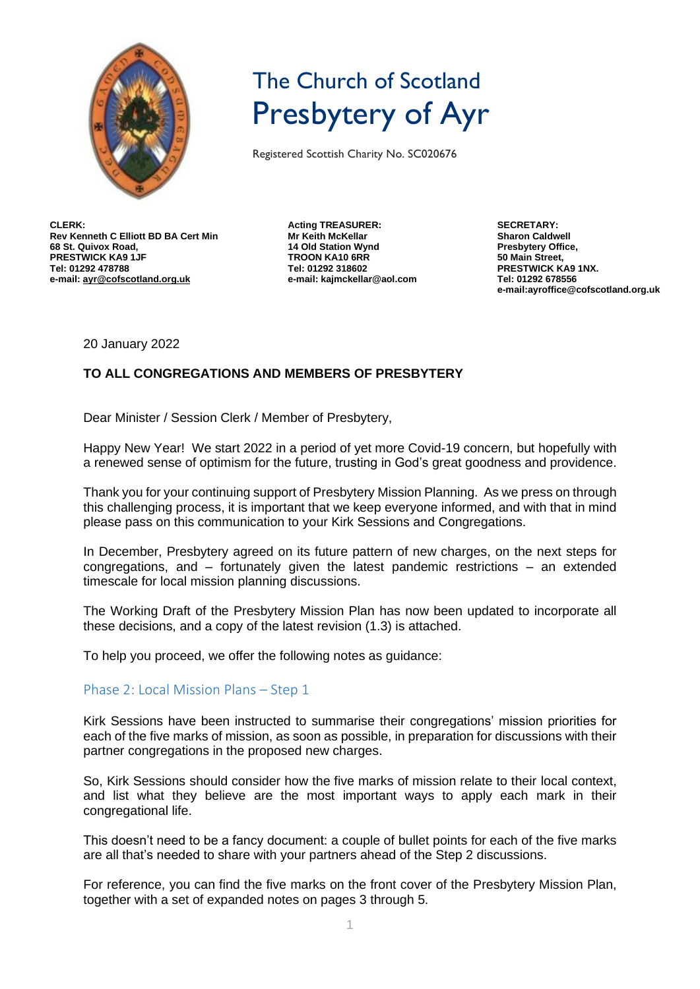

# The Church of Scotland Presbytery of Ayr

Registered Scottish Charity No. SC020676

**CLERK: Rev Kenneth C Elliott BD BA Cert Min 68 St. Quivox Road, PRESTWICK KA9 1JF Tel: 01292 478788 e-mail[: ayr@cofscotland.org.uk](mailto:ayr@cofscotland.org.uk)**

**Acting TREASURER: Mr Keith McKellar 14 Old Station Wynd TROON KA10 6RR Tel: 01292 318602 e-mail: kajmckellar@aol.com** **SECRETARY: Sharon Caldwell Presbytery Office, 50 Main Street, PRESTWICK KA9 1NX. Tel: 01292 678556 e-mail:ayroffice@cofscotland.org.uk**

20 January 2022

## **TO ALL CONGREGATIONS AND MEMBERS OF PRESBYTERY**

Dear Minister / Session Clerk / Member of Presbytery,

Happy New Year! We start 2022 in a period of yet more Covid-19 concern, but hopefully with a renewed sense of optimism for the future, trusting in God's great goodness and providence.

Thank you for your continuing support of Presbytery Mission Planning. As we press on through this challenging process, it is important that we keep everyone informed, and with that in mind please pass on this communication to your Kirk Sessions and Congregations.

In December, Presbytery agreed on its future pattern of new charges, on the next steps for congregations, and – fortunately given the latest pandemic restrictions – an extended timescale for local mission planning discussions.

The Working Draft of the Presbytery Mission Plan has now been updated to incorporate all these decisions, and a copy of the latest revision (1.3) is attached.

To help you proceed, we offer the following notes as guidance:

#### Phase 2: Local Mission Plans – Step 1

Kirk Sessions have been instructed to summarise their congregations' mission priorities for each of the five marks of mission, as soon as possible, in preparation for discussions with their partner congregations in the proposed new charges.

So, Kirk Sessions should consider how the five marks of mission relate to their local context, and list what they believe are the most important ways to apply each mark in their congregational life.

This doesn't need to be a fancy document: a couple of bullet points for each of the five marks are all that's needed to share with your partners ahead of the Step 2 discussions.

For reference, you can find the five marks on the front cover of the Presbytery Mission Plan, together with a set of expanded notes on pages 3 through 5.